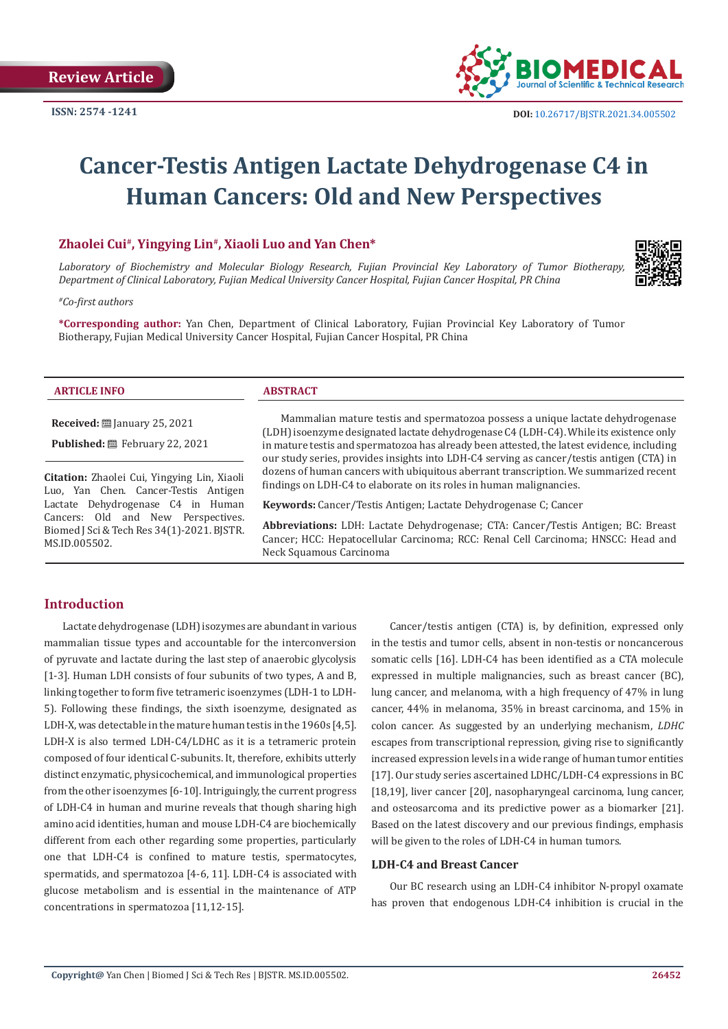

# **Cancer-Testis Antigen Lactate Dehydrogenase C4 in Human Cancers: Old and New Perspectives**

# **Zhaolei Cui#, Yingying Lin#, Xiaoli Luo and Yan Chen\***

*Laboratory of Biochemistry and Molecular Biology Research, Fujian Provincial Key Laboratory of Tumor Biotherapy, Department of Clinical Laboratory, Fujian Medical University Cancer Hospital, Fujian Cancer Hospital, PR China*

*#Co-first authors*

**\*Corresponding author:** Yan Chen, Department of Clinical Laboratory, Fujian Provincial Key Laboratory of Tumor Biotherapy, Fujian Medical University Cancer Hospital, Fujian Cancer Hospital, PR China

| DTICLE INEO<br><b>ARTICLE</b> | <b>ABSTRACT</b> |
|-------------------------------|-----------------|
|                               |                 |

**Received:** ■ January 25, 2021

**Published:** February 22, 2021

**Citation:** Zhaolei Cui, Yingying Lin, Xiaoli Luo, Yan Chen. Cancer-Testis Antigen Lactate Dehydrogenase C4 in Human Cancers: Old and New Perspectives. Biomed J Sci & Tech Res 34(1)-2021. BJSTR. MS.ID.005502.

Mammalian mature testis and spermatozoa possess a unique lactate dehydrogenase (LDH) isoenzyme designated lactate dehydrogenase C4 (LDH-C4). While its existence only in mature testis and spermatozoa has already been attested, the latest evidence, including our study series, provides insights into LDH-C4 serving as cancer/testis antigen (CTA) in dozens of human cancers with ubiquitous aberrant transcription. We summarized recent findings on LDH-C4 to elaborate on its roles in human malignancies.

**Keywords:** Cancer/Testis Antigen; Lactate Dehydrogenase C; Cancer

**Abbreviations:** LDH: Lactate Dehydrogenase; CTA: Cancer/Testis Antigen; BC: Breast Cancer; HCC: Hepatocellular Carcinoma; RCC: Renal Cell Carcinoma; HNSCC: Head and Neck Squamous Carcinoma

## **Introduction**

Lactate dehydrogenase (LDH) isozymes are abundant in various mammalian tissue types and accountable for the interconversion of pyruvate and lactate during the last step of anaerobic glycolysis [1-3]. Human LDH consists of four subunits of two types, A and B, linking together to form five tetrameric isoenzymes (LDH-1 to LDH-5). Following these findings, the sixth isoenzyme, designated as LDH-X, was detectable in the mature human testis in the 1960s [4,5]. LDH-X is also termed LDH-C4/LDHC as it is a tetrameric protein composed of four identical C-subunits. It, therefore, exhibits utterly distinct enzymatic, physicochemical, and immunological properties from the other isoenzymes [6-10]. Intriguingly, the current progress of LDH-C4 in human and murine reveals that though sharing high amino acid identities, human and mouse LDH-C4 are biochemically different from each other regarding some properties, particularly one that LDH-C4 is confined to mature testis, spermatocytes, spermatids, and spermatozoa [4-6, 11]. LDH-C4 is associated with glucose metabolism and is essential in the maintenance of ATP concentrations in spermatozoa [11,12-15].

Cancer/testis antigen (CTA) is, by definition, expressed only in the testis and tumor cells, absent in non-testis or noncancerous somatic cells [16]. LDH-C4 has been identified as a CTA molecule expressed in multiple malignancies, such as breast cancer (BC), lung cancer, and melanoma, with a high frequency of 47% in lung cancer, 44% in melanoma, 35% in breast carcinoma, and 15% in colon cancer. As suggested by an underlying mechanism, *LDHC*  escapes from transcriptional repression, giving rise to significantly increased expression levels in a wide range of human tumor entities [17]. Our study series ascertained LDHC/LDH-C4 expressions in BC [18,19], liver cancer [20], nasopharyngeal carcinoma, lung cancer, and osteosarcoma and its predictive power as a biomarker [21]. Based on the latest discovery and our previous findings, emphasis will be given to the roles of LDH-C4 in human tumors.

## **LDH-C4 and Breast Cancer**

Our BC research using an LDH-C4 inhibitor N-propyl oxamate has proven that endogenous LDH-C4 inhibition is crucial in the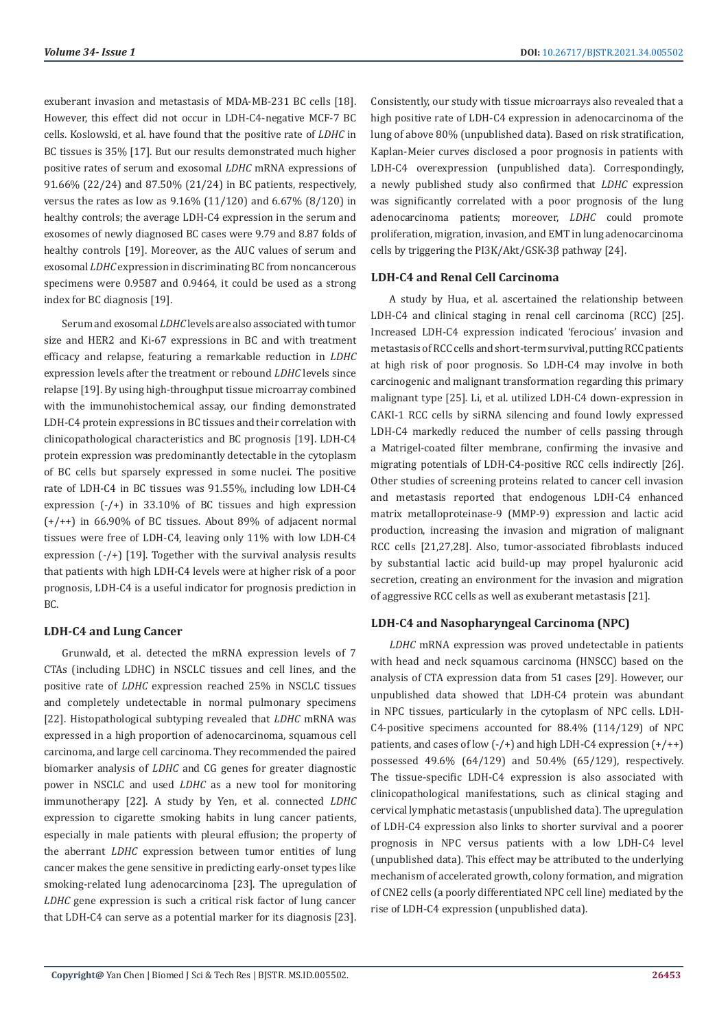exuberant invasion and metastasis of MDA-MB-231 BC cells [18]. However, this effect did not occur in LDH-C4-negative MCF-7 BC cells. Koslowski, et al. have found that the positive rate of *LDHC* in BC tissues is 35% [17]. But our results demonstrated much higher positive rates of serum and exosomal *LDHC* mRNA expressions of 91.66% (22/24) and 87.50% (21/24) in BC patients, respectively, versus the rates as low as 9.16% (11/120) and 6.67% (8/120) in healthy controls; the average LDH-C4 expression in the serum and exosomes of newly diagnosed BC cases were 9.79 and 8.87 folds of healthy controls [19]. Moreover, as the AUC values of serum and exosomal *LDHC* expression in discriminating BC from noncancerous specimens were 0.9587 and 0.9464, it could be used as a strong index for BC diagnosis [19].

Serum and exosomal *LDHC* levels are also associated with tumor size and HER2 and Ki-67 expressions in BC and with treatment efficacy and relapse, featuring a remarkable reduction in *LDHC*  expression levels after the treatment or rebound *LDHC* levels since relapse [19]. By using high-throughput tissue microarray combined with the immunohistochemical assay, our finding demonstrated LDH-C4 protein expressions in BC tissues and their correlation with clinicopathological characteristics and BC prognosis [19]. LDH-C4 protein expression was predominantly detectable in the cytoplasm of BC cells but sparsely expressed in some nuclei. The positive rate of LDH-C4 in BC tissues was 91.55%, including low LDH-C4 expression (-/+) in 33.10% of BC tissues and high expression (+/++) in 66.90% of BC tissues. About 89% of adjacent normal tissues were free of LDH-C4, leaving only 11% with low LDH-C4 expression (-/+) [19]. Together with the survival analysis results that patients with high LDH-C4 levels were at higher risk of a poor prognosis, LDH-C4 is a useful indicator for prognosis prediction in  $R<sub>C</sub>$ 

## **LDH-C4 and Lung Cancer**

Grunwald, et al. detected the mRNA expression levels of 7 CTAs (including LDHC) in NSCLC tissues and cell lines, and the positive rate of *LDHC* expression reached 25% in NSCLC tissues and completely undetectable in normal pulmonary specimens [22]. Histopathological subtyping revealed that *LDHC* mRNA was expressed in a high proportion of adenocarcinoma, squamous cell carcinoma, and large cell carcinoma. They recommended the paired biomarker analysis of *LDHC* and CG genes for greater diagnostic power in NSCLC and used *LDHC* as a new tool for monitoring immunotherapy [22]. A study by Yen, et al. connected *LDHC*  expression to cigarette smoking habits in lung cancer patients, especially in male patients with pleural effusion; the property of the aberrant *LDHC* expression between tumor entities of lung cancer makes the gene sensitive in predicting early-onset types like smoking-related lung adenocarcinoma [23]. The upregulation of *LDHC* gene expression is such a critical risk factor of lung cancer that LDH-C4 can serve as a potential marker for its diagnosis [23]. Consistently, our study with tissue microarrays also revealed that a high positive rate of LDH-C4 expression in adenocarcinoma of the lung of above 80% (unpublished data). Based on risk stratification, Kaplan-Meier curves disclosed a poor prognosis in patients with LDH-C4 overexpression (unpublished data). Correspondingly, a newly published study also confirmed that *LDHC* expression was significantly correlated with a poor prognosis of the lung adenocarcinoma patients; moreover, *LDHC* could promote proliferation, migration, invasion, and EMT in lung adenocarcinoma cells by triggering the PI3K/Akt/GSK-3β pathway [24].

#### **LDH-C4 and Renal Cell Carcinoma**

A study by Hua, et al. ascertained the relationship between LDH-C4 and clinical staging in renal cell carcinoma (RCC) [25]. Increased LDH-C4 expression indicated 'ferocious' invasion and metastasis of RCC cells and short-term survival, putting RCC patients at high risk of poor prognosis. So LDH-C4 may involve in both carcinogenic and malignant transformation regarding this primary malignant type [25]. Li, et al. utilized LDH-C4 down-expression in CAKI-1 RCC cells by siRNA silencing and found lowly expressed LDH-C4 markedly reduced the number of cells passing through a Matrigel-coated filter membrane, confirming the invasive and migrating potentials of LDH-C4-positive RCC cells indirectly [26]. Other studies of screening proteins related to cancer cell invasion and metastasis reported that endogenous LDH-C4 enhanced matrix metalloproteinase-9 (MMP-9) expression and lactic acid production, increasing the invasion and migration of malignant RCC cells [21,27,28]. Also, tumor-associated fibroblasts induced by substantial lactic acid build-up may propel hyaluronic acid secretion, creating an environment for the invasion and migration of aggressive RCC cells as well as exuberant metastasis [21].

## **LDH-C4 and Nasopharyngeal Carcinoma (NPC)**

*LDHC* mRNA expression was proved undetectable in patients with head and neck squamous carcinoma (HNSCC) based on the analysis of CTA expression data from 51 cases [29]. However, our unpublished data showed that LDH-C4 protein was abundant in NPC tissues, particularly in the cytoplasm of NPC cells. LDH-C4-positive specimens accounted for 88.4% (114/129) of NPC patients, and cases of low  $(-/+)$  and high LDH-C4 expression  $(+/++)$ possessed 49.6% (64/129) and 50.4% (65/129), respectively. The tissue-specific LDH-C4 expression is also associated with clinicopathological manifestations, such as clinical staging and cervical lymphatic metastasis (unpublished data). The upregulation of LDH-C4 expression also links to shorter survival and a poorer prognosis in NPC versus patients with a low LDH-C4 level (unpublished data). This effect may be attributed to the underlying mechanism of accelerated growth, colony formation, and migration of CNE2 cells (a poorly differentiated NPC cell line) mediated by the rise of LDH-C4 expression (unpublished data).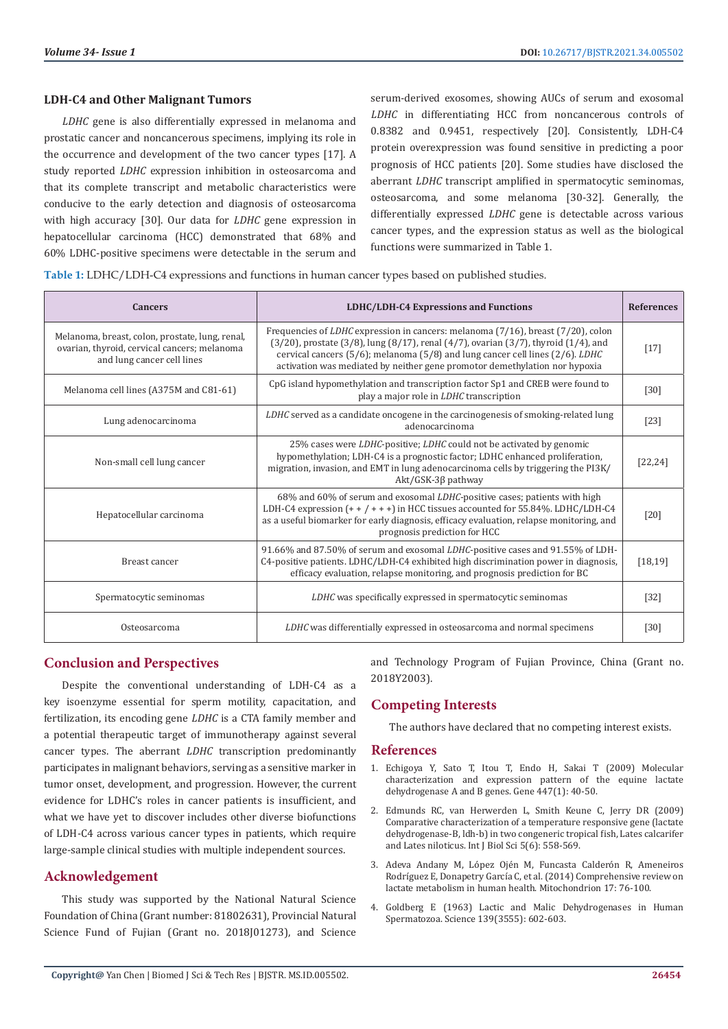## **LDH-C4 and Other Malignant Tumors**

*LDHC* gene is also differentially expressed in melanoma and prostatic cancer and noncancerous specimens, implying its role in the occurrence and development of the two cancer types [17]. A study reported *LDHC* expression inhibition in osteosarcoma and that its complete transcript and metabolic characteristics were conducive to the early detection and diagnosis of osteosarcoma with high accuracy [30]. Our data for *LDHC* gene expression in hepatocellular carcinoma (HCC) demonstrated that 68% and 60% LDHC-positive specimens were detectable in the serum and

serum-derived exosomes, showing AUCs of serum and exosomal *LDHC* in differentiating HCC from noncancerous controls of 0.8382 and 0.9451, respectively [20]. Consistently, LDH-C4 protein overexpression was found sensitive in predicting a poor prognosis of HCC patients [20]. Some studies have disclosed the aberrant *LDHC* transcript amplified in spermatocytic seminomas, osteosarcoma, and some melanoma [30-32]. Generally, the differentially expressed *LDHC* gene is detectable across various cancer types, and the expression status as well as the biological functions were summarized in Table 1.

**Table 1:** LDHC/LDH-C4 expressions and functions in human cancer types based on published studies.

| <b>Cancers</b>                                                                                                                | LDHC/LDH-C4 Expressions and Functions                                                                                                                                                                                                                                                                                                                                   | <b>References</b> |
|-------------------------------------------------------------------------------------------------------------------------------|-------------------------------------------------------------------------------------------------------------------------------------------------------------------------------------------------------------------------------------------------------------------------------------------------------------------------------------------------------------------------|-------------------|
| Melanoma, breast, colon, prostate, lung, renal,<br>ovarian, thyroid, cervical cancers; melanoma<br>and lung cancer cell lines | Frequencies of <i>LDHC</i> expression in cancers: melanoma (7/16), breast (7/20), colon<br>$(3/20)$ , prostate $(3/8)$ , lung $(8/17)$ , renal $(4/7)$ , ovarian $(3/7)$ , thyroid $(1/4)$ , and<br>cervical cancers $(5/6)$ ; melanoma $(5/8)$ and lung cancer cell lines $(2/6)$ . LDHC<br>activation was mediated by neither gene promotor demethylation nor hypoxia | $[17]$            |
| Melanoma cell lines (A375M and C81-61)                                                                                        | CpG island hypomethylation and transcription factor Sp1 and CREB were found to<br>play a major role in LDHC transcription                                                                                                                                                                                                                                               | $[30]$            |
| Lung adenocarcinoma                                                                                                           | LDHC served as a candidate oncogene in the carcinogenesis of smoking-related lung<br>adenocarcinoma                                                                                                                                                                                                                                                                     | $[23]$            |
| Non-small cell lung cancer                                                                                                    | 25% cases were LDHC-positive; LDHC could not be activated by genomic<br>hypomethylation; LDH-C4 is a prognostic factor; LDHC enhanced proliferation,<br>migration, invasion, and EMT in lung adenocarcinoma cells by triggering the PI3K/<br>$Akt/GSK-3\beta$ pathway                                                                                                   | [22, 24]          |
| Hepatocellular carcinoma                                                                                                      | 68% and 60% of serum and exosomal LDHC-positive cases; patients with high<br>LDH-C4 expression $(+ + + + +)$ in HCC tissues accounted for 55.84%. LDHC/LDH-C4<br>as a useful biomarker for early diagnosis, efficacy evaluation, relapse monitoring, and<br>prognosis prediction for HCC                                                                                | [20]              |
| Breast cancer                                                                                                                 | 91.66% and 87.50% of serum and exosomal <i>LDHC</i> -positive cases and 91.55% of LDH-<br>C4-positive patients. LDHC/LDH-C4 exhibited high discrimination power in diagnosis,<br>efficacy evaluation, relapse monitoring, and prognosis prediction for BC                                                                                                               | [18, 19]          |
| Spermatocytic seminomas                                                                                                       | LDHC was specifically expressed in spermatocytic seminomas                                                                                                                                                                                                                                                                                                              | $[32]$            |
| Osteosarcoma                                                                                                                  | LDHC was differentially expressed in osteosarcoma and normal specimens                                                                                                                                                                                                                                                                                                  | [30]              |

## **Conclusion and Perspectives**

Despite the conventional understanding of LDH-C4 as a key isoenzyme essential for sperm motility, capacitation, and fertilization, its encoding gene *LDHC* is a CTA family member and a potential therapeutic target of immunotherapy against several cancer types. The aberrant *LDHC* transcription predominantly participates in malignant behaviors, serving as a sensitive marker in tumor onset, development, and progression. However, the current evidence for LDHC's roles in cancer patients is insufficient, and what we have yet to discover includes other diverse biofunctions of LDH-C4 across various cancer types in patients, which require large-sample clinical studies with multiple independent sources.

## **Acknowledgement**

This study was supported by the National Natural Science Foundation of China (Grant number: 81802631), Provincial Natural Science Fund of Fujian (Grant no. 2018[01273), and Science and Technology Program of Fujian Province, China (Grant no. 2018Y2003).

# **Competing Interests**

The authors have declared that no competing interest exists.

#### **References**

- 1. [Echigoya Y, Sato T, Itou T, Endo H, Sakai T \(2009\) Molecular](https://pubmed.ncbi.nlm.nih.gov/19647052/) [characterization and expression pattern of the equine lactate](https://pubmed.ncbi.nlm.nih.gov/19647052/) [dehydrogenase A and B genes. Gene 447\(1\): 40-50.](https://pubmed.ncbi.nlm.nih.gov/19647052/)
- 2. [Edmunds RC, van Herwerden L, Smith Keune C, Jerry DR \(2009\)](https://www.ncbi.nlm.nih.gov/pmc/articles/PMC2737716/) [Comparative characterization of a temperature responsive gene \(lactate](https://www.ncbi.nlm.nih.gov/pmc/articles/PMC2737716/) [dehydrogenase-B, ldh-b\) in two congeneric tropical fish, Lates calcarifer](https://www.ncbi.nlm.nih.gov/pmc/articles/PMC2737716/) [and Lates niloticus. Int J Biol Sci 5\(6\): 558-569.](https://www.ncbi.nlm.nih.gov/pmc/articles/PMC2737716/)
- 3. [Adeva Andany M, López Ojén M, Funcasta Calderón R, Ameneiros](https://pubmed.ncbi.nlm.nih.gov/24929216/) [Rodríguez E, Donapetry García C, et al. \(2014\) Comprehensive review on](https://pubmed.ncbi.nlm.nih.gov/24929216/) [lactate metabolism in human health. Mitochondrion 17: 76-100.](https://pubmed.ncbi.nlm.nih.gov/24929216/)
- 4. [Goldberg E \(1963\) Lactic and Malic Dehydrogenases in Human](https://pubmed.ncbi.nlm.nih.gov/17788301/) [Spermatozoa. Science 139\(3555\): 602-603.](https://pubmed.ncbi.nlm.nih.gov/17788301/)